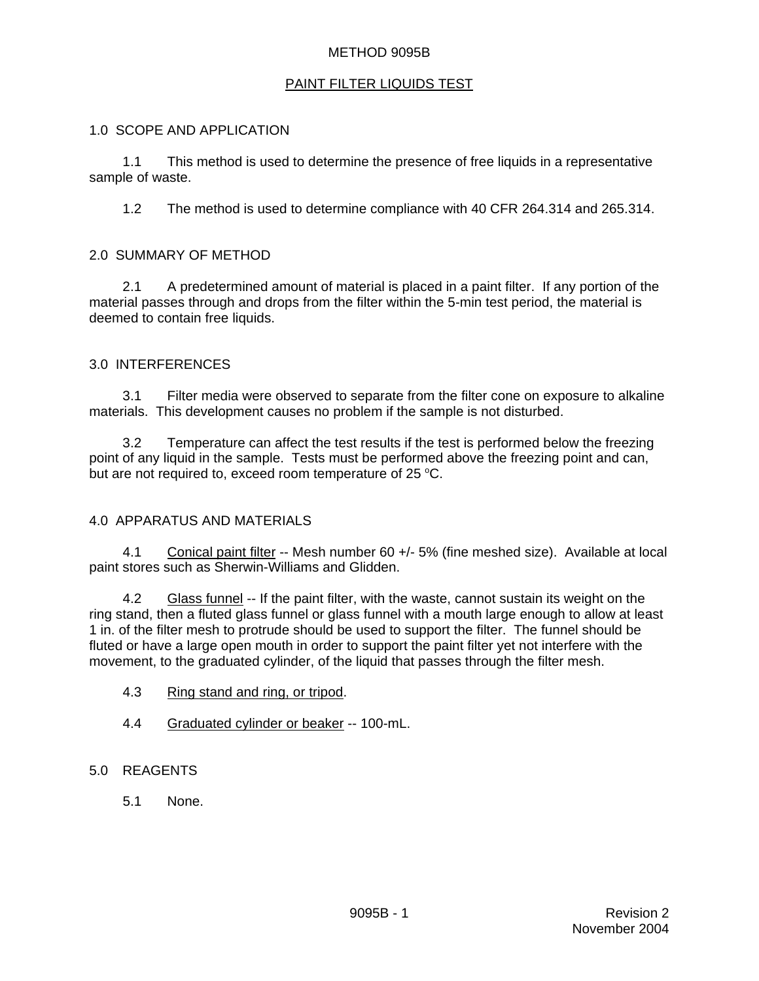## METHOD 9095B

## PAINT FILTER LIQUIDS TEST

### 1.0 SCOPE AND APPLICATION

1.1 This method is used to determine the presence of free liquids in a representative sample of waste.

1.2 The method is used to determine compliance with 40 CFR 264.314 and 265.314.

### 2.0 SUMMARY OF METHOD

2.1 A predetermined amount of material is placed in a paint filter. If any portion of the material passes through and drops from the filter within the 5-min test period, the material is deemed to contain free liquids.

#### 3.0 INTERFERENCES

3.1 Filter media were observed to separate from the filter cone on exposure to alkaline materials. This development causes no problem if the sample is not disturbed.

3.2 Temperature can affect the test results if the test is performed below the freezing point of any liquid in the sample. Tests must be performed above the freezing point and can, but are not required to, exceed room temperature of 25  $^{\circ}$ C.

## 4.0 APPARATUS AND MATERIALS

4.1 Conical paint filter -- Mesh number 60 +/- 5% (fine meshed size). Available at local paint stores such as Sherwin-Williams and Glidden.

4.2 Glass funnel -- If the paint filter, with the waste, cannot sustain its weight on the ring stand, then a fluted glass funnel or glass funnel with a mouth large enough to allow at least 1 in. of the filter mesh to protrude should be used to support the filter. The funnel should be fluted or have a large open mouth in order to support the paint filter yet not interfere with the movement, to the graduated cylinder, of the liquid that passes through the filter mesh.

- 4.3 Ring stand and ring, or tripod.
- 4.4 Graduated cylinder or beaker -- 100-mL.

### 5.0 REAGENTS

5.1 None.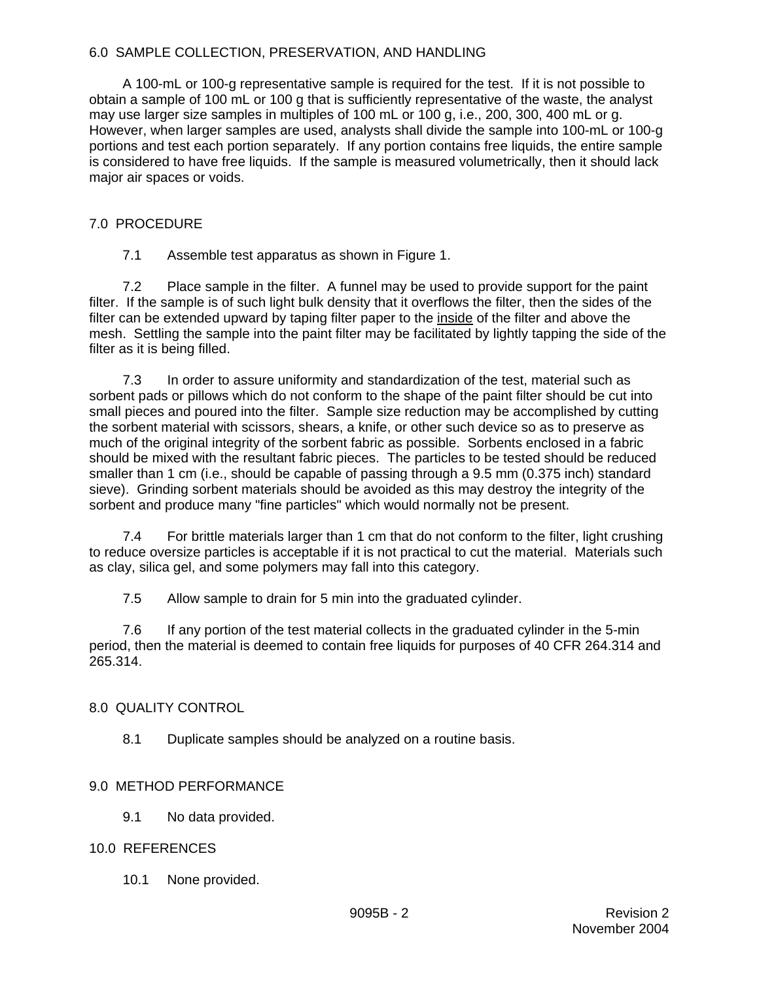## 6.0 SAMPLE COLLECTION, PRESERVATION, AND HANDLING

A 100-mL or 100-g representative sample is required for the test. If it is not possible to obtain a sample of 100 mL or 100 g that is sufficiently representative of the waste, the analyst may use larger size samples in multiples of 100 mL or 100 g, i.e., 200, 300, 400 mL or g. However, when larger samples are used, analysts shall divide the sample into 100-mL or 100-g portions and test each portion separately. If any portion contains free liquids, the entire sample is considered to have free liquids. If the sample is measured volumetrically, then it should lack major air spaces or voids.

## 7.0 PROCEDURE

7.1 Assemble test apparatus as shown in Figure 1.

7.2 Place sample in the filter. A funnel may be used to provide support for the paint filter. If the sample is of such light bulk density that it overflows the filter, then the sides of the filter can be extended upward by taping filter paper to the inside of the filter and above the mesh. Settling the sample into the paint filter may be facilitated by lightly tapping the side of the filter as it is being filled.

7.3 In order to assure uniformity and standardization of the test, material such as sorbent pads or pillows which do not conform to the shape of the paint filter should be cut into small pieces and poured into the filter. Sample size reduction may be accomplished by cutting the sorbent material with scissors, shears, a knife, or other such device so as to preserve as much of the original integrity of the sorbent fabric as possible. Sorbents enclosed in a fabric should be mixed with the resultant fabric pieces. The particles to be tested should be reduced smaller than 1 cm (i.e., should be capable of passing through a 9.5 mm (0.375 inch) standard sieve). Grinding sorbent materials should be avoided as this may destroy the integrity of the sorbent and produce many "fine particles" which would normally not be present.

7.4 For brittle materials larger than 1 cm that do not conform to the filter, light crushing to reduce oversize particles is acceptable if it is not practical to cut the material. Materials such as clay, silica gel, and some polymers may fall into this category.

7.5 Allow sample to drain for 5 min into the graduated cylinder.

7.6 If any portion of the test material collects in the graduated cylinder in the 5-min period, then the material is deemed to contain free liquids for purposes of 40 CFR 264.314 and 265.314.

# 8.0 QUALITY CONTROL

8.1 Duplicate samples should be analyzed on a routine basis.

# 9.0 METHOD PERFORMANCE

9.1 No data provided.

## 10.0 REFERENCES

10.1 None provided.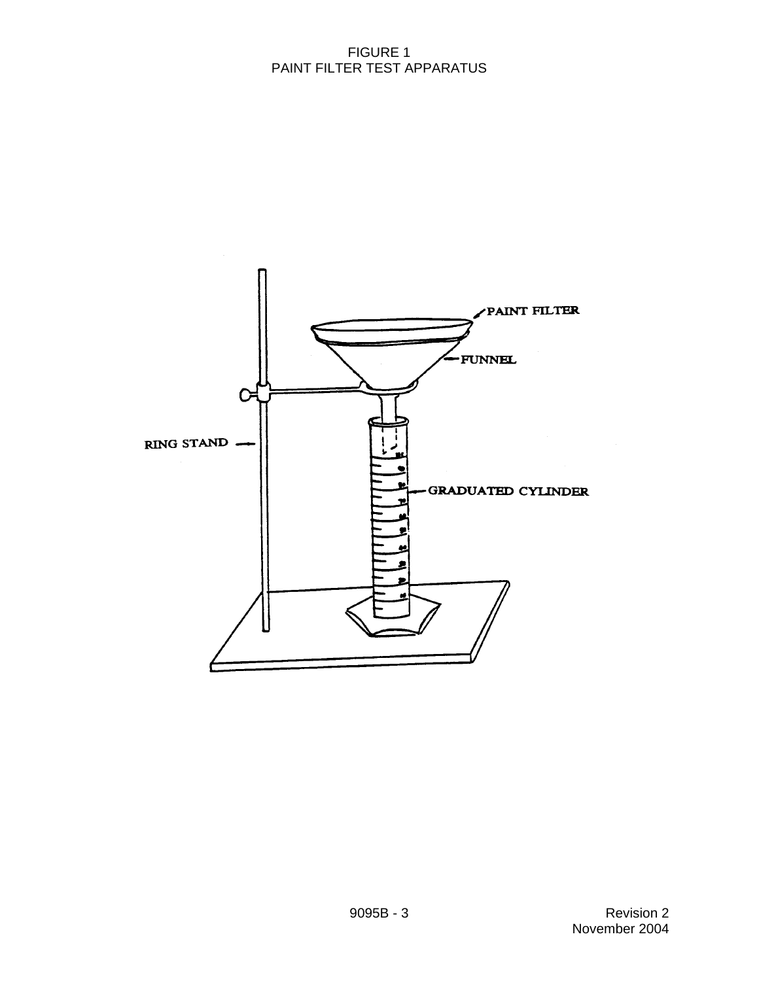### FIGURE 1 PAINT FILTER TEST APPARATUS